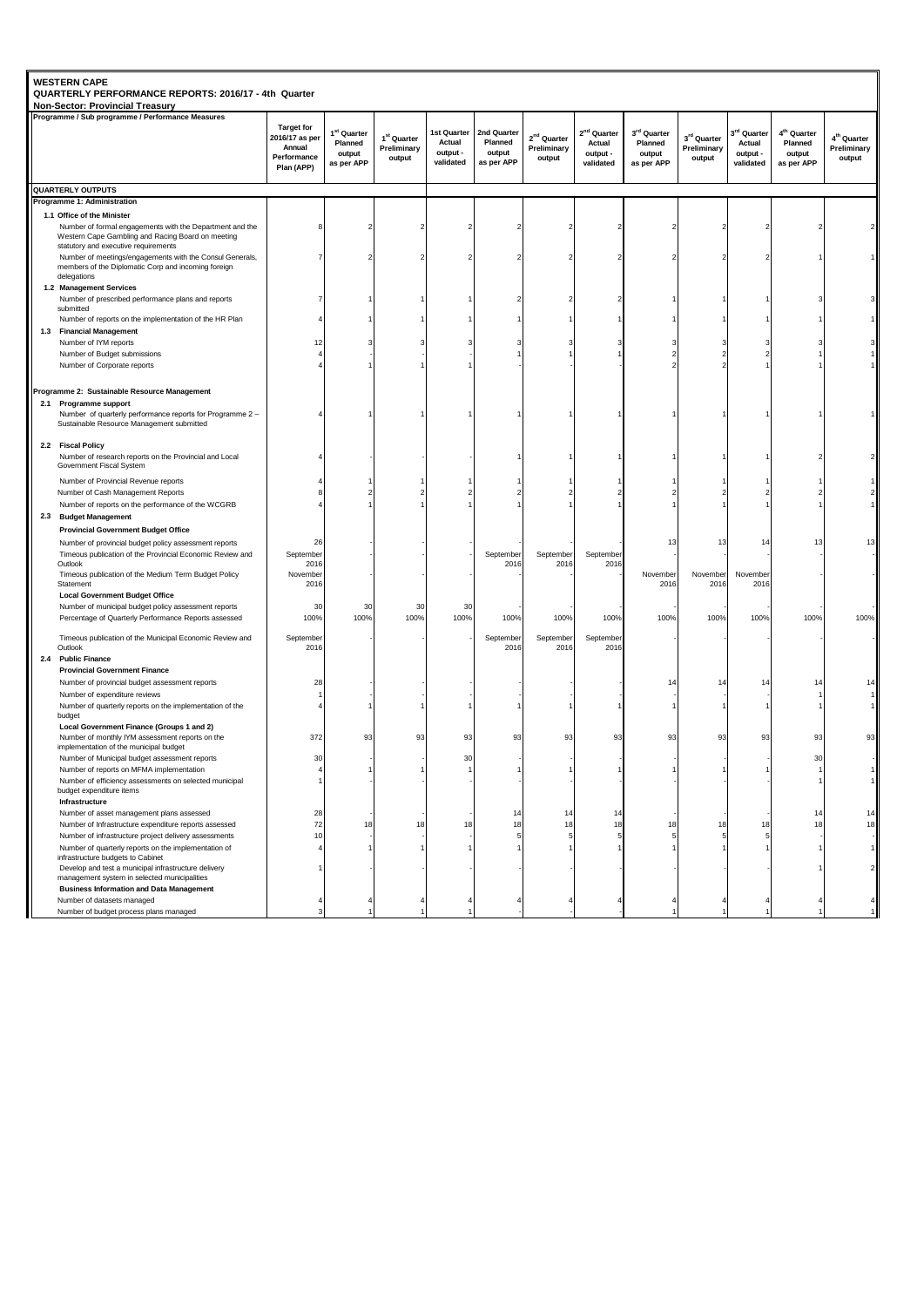|     | QUARTERLY PERFORMANCE REPORTS: 2016/17 - 4th Quarter<br><b>Non-Sector: Provincial Treasury</b>                                                        |                                                                            |                                                            |                                           |                                                |                                                |                                               |                                                            |                                                |                                                               |                                                            |                                                            |                                                  |
|-----|-------------------------------------------------------------------------------------------------------------------------------------------------------|----------------------------------------------------------------------------|------------------------------------------------------------|-------------------------------------------|------------------------------------------------|------------------------------------------------|-----------------------------------------------|------------------------------------------------------------|------------------------------------------------|---------------------------------------------------------------|------------------------------------------------------------|------------------------------------------------------------|--------------------------------------------------|
|     | Programme / Sub programme / Performance Measures                                                                                                      | <b>Target for</b><br>2016/17 as per<br>Annual<br>Performance<br>Plan (APP) | 1 <sup>st</sup> Quarter<br>Planned<br>output<br>as per APP | $1^{st}$ Quarter<br>Preliminary<br>output | 1st Quarter<br>Actual<br>output -<br>validated | 2nd Quarter<br>Planned<br>output<br>as per APP | $2^{\rm nd}$ Quarter<br>Preliminary<br>output | 2 <sup>nd</sup> Quarter<br>Actual<br>output -<br>validated | 3rd Quarter<br>Planned<br>output<br>as per APP | $\boldsymbol{3}^{\text{rd}}$ Quarter<br>Preliminary<br>output | 3 <sup>rd</sup> Quarter<br>Actual<br>output -<br>validated | 4 <sup>th</sup> Quarter<br>Planned<br>output<br>as per APP | 4 <sup>th</sup> Quarter<br>Preliminary<br>output |
|     | <b>QUARTERLY OUTPUTS</b>                                                                                                                              |                                                                            |                                                            |                                           |                                                |                                                |                                               |                                                            |                                                |                                                               |                                                            |                                                            |                                                  |
|     | Programme 1: Administration                                                                                                                           |                                                                            |                                                            |                                           |                                                |                                                |                                               |                                                            |                                                |                                                               |                                                            |                                                            |                                                  |
|     | 1.1 Office of the Minister                                                                                                                            |                                                                            |                                                            |                                           |                                                |                                                |                                               |                                                            |                                                |                                                               |                                                            |                                                            |                                                  |
|     | Number of formal engagements with the Department and the<br>Western Cape Gambling and Racing Board on meeting<br>statutory and executive requirements |                                                                            |                                                            |                                           |                                                |                                                |                                               |                                                            |                                                |                                                               |                                                            |                                                            |                                                  |
|     | Number of meetings/engagements with the Consul Generals,<br>members of the Diplomatic Corp and incoming foreign<br>delegations                        |                                                                            |                                                            |                                           |                                                |                                                |                                               |                                                            |                                                |                                                               |                                                            |                                                            |                                                  |
|     | 1.2 Management Services                                                                                                                               |                                                                            |                                                            |                                           |                                                |                                                |                                               |                                                            |                                                |                                                               |                                                            |                                                            |                                                  |
|     | Number of prescribed performance plans and reports<br>submitted                                                                                       |                                                                            |                                                            |                                           |                                                |                                                |                                               |                                                            |                                                |                                                               |                                                            |                                                            |                                                  |
|     | Number of reports on the implementation of the HR Plan                                                                                                |                                                                            |                                                            |                                           |                                                |                                                |                                               |                                                            |                                                |                                                               |                                                            |                                                            |                                                  |
|     | 1.3 Financial Management                                                                                                                              |                                                                            |                                                            |                                           |                                                |                                                |                                               |                                                            |                                                |                                                               |                                                            |                                                            |                                                  |
|     | Number of IYM reports                                                                                                                                 | 12                                                                         |                                                            |                                           |                                                |                                                |                                               |                                                            |                                                |                                                               |                                                            |                                                            |                                                  |
|     | Number of Budget submissions                                                                                                                          |                                                                            |                                                            |                                           |                                                |                                                |                                               |                                                            |                                                |                                                               |                                                            |                                                            |                                                  |
|     | Number of Corporate reports                                                                                                                           |                                                                            |                                                            |                                           |                                                |                                                |                                               |                                                            |                                                |                                                               |                                                            |                                                            |                                                  |
|     | Programme 2: Sustainable Resource Management                                                                                                          |                                                                            |                                                            |                                           |                                                |                                                |                                               |                                                            |                                                |                                                               |                                                            |                                                            |                                                  |
|     | 2.1 Programme support                                                                                                                                 |                                                                            |                                                            |                                           |                                                |                                                |                                               |                                                            |                                                |                                                               |                                                            |                                                            |                                                  |
|     | Number of quarterly performance reports for Programme 2 -<br>Sustainable Resource Management submitted                                                |                                                                            |                                                            |                                           |                                                |                                                |                                               |                                                            |                                                |                                                               |                                                            |                                                            |                                                  |
|     | 2.2 Fiscal Policy                                                                                                                                     |                                                                            |                                                            |                                           |                                                |                                                |                                               |                                                            |                                                |                                                               |                                                            |                                                            |                                                  |
|     | Number of research reports on the Provincial and Local<br>Government Fiscal System                                                                    |                                                                            |                                                            |                                           |                                                |                                                |                                               |                                                            |                                                |                                                               |                                                            |                                                            |                                                  |
|     | Number of Provincial Revenue reports                                                                                                                  |                                                                            |                                                            |                                           |                                                |                                                |                                               |                                                            |                                                |                                                               |                                                            |                                                            |                                                  |
|     | Number of Cash Management Reports<br>Number of reports on the performance of the WCGRB                                                                |                                                                            |                                                            |                                           |                                                |                                                |                                               |                                                            |                                                |                                                               |                                                            |                                                            |                                                  |
|     | 2.3 Budget Management                                                                                                                                 |                                                                            |                                                            |                                           |                                                |                                                |                                               |                                                            |                                                |                                                               |                                                            |                                                            |                                                  |
|     | <b>Provincial Government Budget Office</b>                                                                                                            |                                                                            |                                                            |                                           |                                                |                                                |                                               |                                                            |                                                |                                                               |                                                            |                                                            |                                                  |
|     | Number of provincial budget policy assessment reports                                                                                                 | 26                                                                         |                                                            |                                           |                                                |                                                |                                               |                                                            | 13                                             | 13                                                            | 14                                                         | 13                                                         | 13                                               |
|     | Timeous publication of the Provincial Economic Review and<br>Outlook                                                                                  | September<br>2016                                                          |                                                            |                                           |                                                | September<br>2016                              | September<br>2016                             | September<br>2016                                          |                                                |                                                               |                                                            |                                                            |                                                  |
|     | Timeous publication of the Medium Term Budget Policy<br>Statement<br><b>Local Government Budget Office</b>                                            | November<br>2016                                                           |                                                            |                                           |                                                |                                                |                                               |                                                            | November<br>2016                               | November<br>2016                                              | November<br>2016                                           |                                                            |                                                  |
|     | Number of municipal budget policy assessment reports                                                                                                  | 30                                                                         | 30                                                         | 30                                        | 30                                             |                                                |                                               |                                                            |                                                |                                                               |                                                            |                                                            |                                                  |
|     | Percentage of Quarterly Performance Reports assessed                                                                                                  | 100%                                                                       | 100%                                                       | 100%                                      | 100%                                           | 100%                                           | 100%                                          | 100%                                                       | 100%                                           | 100%                                                          | 100%                                                       | 100%                                                       | 100%                                             |
|     | Timeous publication of the Municipal Economic Review and<br>Outlook                                                                                   | September<br>2016                                                          |                                                            |                                           |                                                | September<br>2016                              | September<br>2016                             | September<br>2016                                          |                                                |                                                               |                                                            |                                                            |                                                  |
| 2.4 | <b>Public Finance</b><br><b>Provincial Government Finance</b>                                                                                         |                                                                            |                                                            |                                           |                                                |                                                |                                               |                                                            |                                                |                                                               |                                                            |                                                            |                                                  |
|     | Number of provincial budget assessment reports                                                                                                        | 28                                                                         |                                                            |                                           |                                                |                                                |                                               |                                                            | 14                                             | 14                                                            | 14                                                         | 14                                                         | 14                                               |
|     | Number of expenditure reviews                                                                                                                         |                                                                            |                                                            |                                           |                                                |                                                |                                               |                                                            |                                                |                                                               |                                                            |                                                            |                                                  |
|     | Number of quarterly reports on the implementation of the<br>budget                                                                                    |                                                                            |                                                            |                                           |                                                |                                                |                                               |                                                            |                                                |                                                               |                                                            |                                                            |                                                  |
|     | Local Government Finance (Groups 1 and 2)<br>Number of monthly IYM assessment reports on the                                                          | 372                                                                        | 93                                                         | 93                                        | 93                                             | 93                                             | 93                                            | 93                                                         | 93                                             | 93                                                            | 93                                                         | 93                                                         | 93                                               |
|     | implementation of the municipal budget                                                                                                                |                                                                            |                                                            |                                           |                                                |                                                |                                               |                                                            |                                                |                                                               |                                                            |                                                            |                                                  |
|     | Number of Municipal budget assessment reports                                                                                                         | 30                                                                         |                                                            |                                           | 30                                             |                                                |                                               |                                                            |                                                |                                                               |                                                            | 30                                                         |                                                  |
|     | Number of reports on MFMA implementation<br>Number of efficiency assessments on selected municipal<br>budget expenditure items                        | 1                                                                          |                                                            |                                           |                                                |                                                |                                               |                                                            |                                                |                                                               |                                                            |                                                            |                                                  |
|     | Infrastructure                                                                                                                                        |                                                                            |                                                            |                                           |                                                |                                                |                                               |                                                            |                                                |                                                               |                                                            |                                                            |                                                  |
|     | Number of asset management plans assessed<br>Number of Infrastructure expenditure reports assessed                                                    | 28<br>72                                                                   | 18                                                         | 18                                        | 18                                             | 14<br>18                                       | 14<br>18                                      | 14<br>18                                                   | 18                                             | 18                                                            | 18                                                         | 14<br>18                                                   | 14<br>18                                         |
|     | Number of infrastructure project delivery assessments                                                                                                 | 10                                                                         |                                                            |                                           |                                                |                                                |                                               | 5                                                          |                                                |                                                               |                                                            |                                                            |                                                  |
|     | Number of quarterly reports on the implementation of                                                                                                  | 4                                                                          |                                                            |                                           |                                                |                                                |                                               |                                                            |                                                |                                                               |                                                            |                                                            | $\mathbf{1}$                                     |
|     | infrastructure budgets to Cabinet<br>Develop and test a municipal infrastructure delivery<br>management system in selected municipalities             |                                                                            |                                                            |                                           |                                                |                                                |                                               |                                                            |                                                |                                                               |                                                            |                                                            |                                                  |
|     | <b>Business Information and Data Management</b>                                                                                                       |                                                                            |                                                            |                                           |                                                |                                                |                                               |                                                            |                                                |                                                               |                                                            |                                                            |                                                  |
|     | Number of datasets managed                                                                                                                            |                                                                            |                                                            |                                           |                                                |                                                |                                               |                                                            |                                                |                                                               |                                                            |                                                            |                                                  |
|     | Number of budget process plans managed                                                                                                                |                                                                            |                                                            |                                           |                                                |                                                |                                               |                                                            |                                                |                                                               |                                                            |                                                            |                                                  |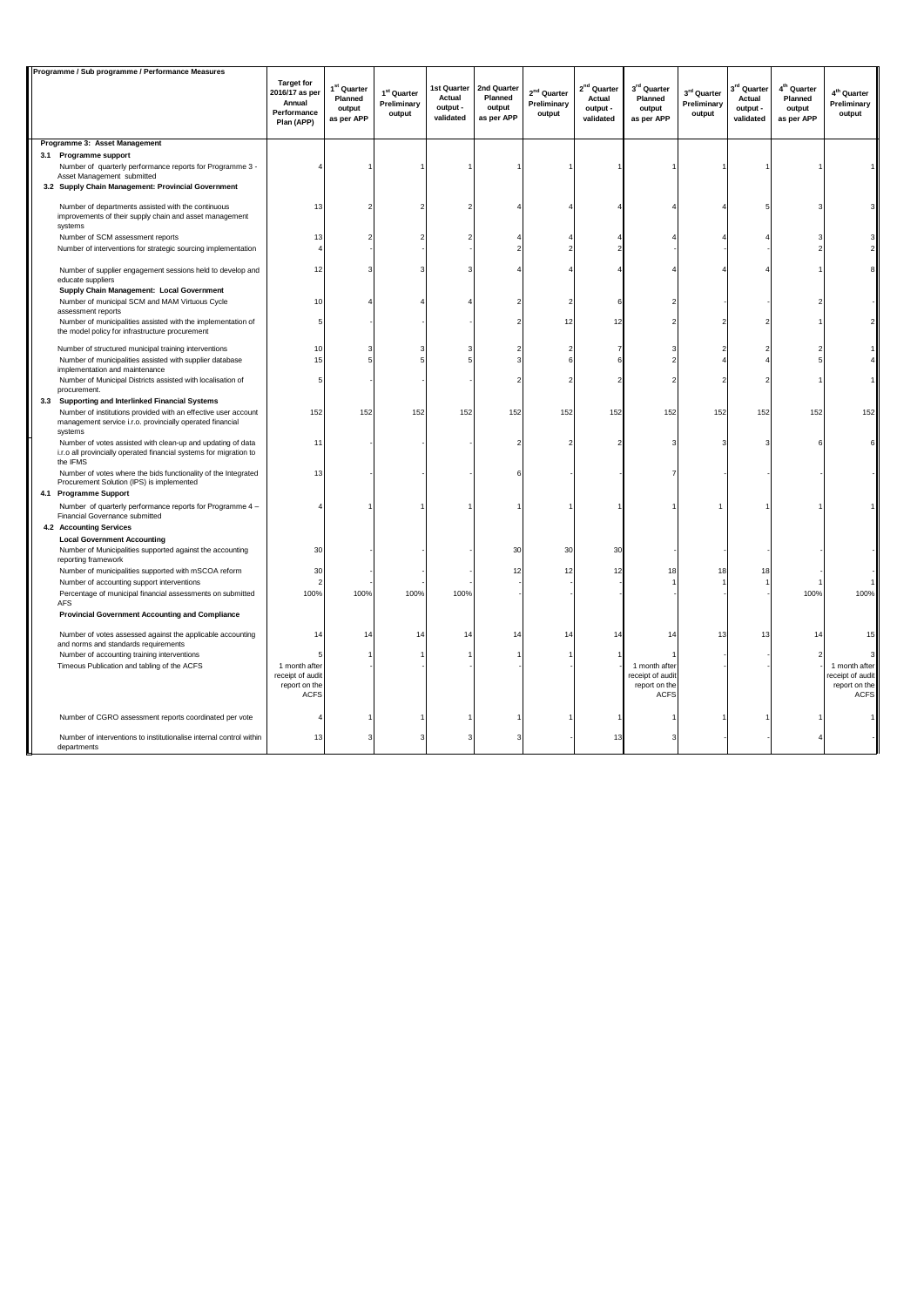| Programme / Sub programme / Performance Measures |                                                                                                                                               |                                                                            |                                                            |                                                  |                                                |                                                |                                        |                                                            |                                                                   |                                               |                                                            |                                                            |                                                                   |
|--------------------------------------------------|-----------------------------------------------------------------------------------------------------------------------------------------------|----------------------------------------------------------------------------|------------------------------------------------------------|--------------------------------------------------|------------------------------------------------|------------------------------------------------|----------------------------------------|------------------------------------------------------------|-------------------------------------------------------------------|-----------------------------------------------|------------------------------------------------------------|------------------------------------------------------------|-------------------------------------------------------------------|
|                                                  |                                                                                                                                               | <b>Target for</b><br>2016/17 as per<br>Annual<br>Performance<br>Plan (APP) | 1 <sup>st</sup> Quarter<br>Planned<br>output<br>as per APP | 1 <sup>st</sup> Quarter<br>Preliminary<br>output | 1st Quarter<br>Actual<br>output -<br>validated | 2nd Quarter<br>Planned<br>output<br>as per APP | $2nd$ Quarter<br>Preliminary<br>output | 2 <sup>nd</sup> Quarter<br>Actual<br>output -<br>validated | 3rd Quarter<br>Planned<br>output<br>as per APP                    | $3^{\rm rd}$ Quarter<br>Preliminary<br>output | 3 <sup>rd</sup> Quarter<br>Actual<br>output -<br>validated | 4 <sup>th</sup> Quarter<br>Planned<br>output<br>as per APP | 4 <sup>th</sup> Quarter<br>Preliminary<br>output                  |
|                                                  | Programme 3: Asset Management                                                                                                                 |                                                                            |                                                            |                                                  |                                                |                                                |                                        |                                                            |                                                                   |                                               |                                                            |                                                            |                                                                   |
|                                                  | 3.1 Programme support                                                                                                                         |                                                                            |                                                            |                                                  |                                                |                                                |                                        |                                                            |                                                                   |                                               |                                                            |                                                            |                                                                   |
|                                                  | Number of quarterly performance reports for Programme 3 -<br>Asset Management submitted                                                       |                                                                            |                                                            |                                                  |                                                |                                                |                                        |                                                            |                                                                   |                                               |                                                            |                                                            |                                                                   |
|                                                  | 3.2 Supply Chain Management: Provincial Government                                                                                            |                                                                            |                                                            |                                                  |                                                |                                                |                                        |                                                            |                                                                   |                                               |                                                            |                                                            |                                                                   |
|                                                  | Number of departments assisted with the continuous                                                                                            | 13                                                                         |                                                            |                                                  |                                                |                                                |                                        |                                                            |                                                                   |                                               |                                                            |                                                            |                                                                   |
|                                                  | improvements of their supply chain and asset management<br>systems                                                                            |                                                                            |                                                            |                                                  |                                                |                                                |                                        |                                                            |                                                                   |                                               |                                                            |                                                            |                                                                   |
|                                                  | Number of SCM assessment reports                                                                                                              | 13                                                                         |                                                            |                                                  |                                                |                                                |                                        |                                                            |                                                                   |                                               |                                                            |                                                            |                                                                   |
|                                                  | Number of interventions for strategic sourcing implementation                                                                                 |                                                                            |                                                            |                                                  |                                                |                                                |                                        |                                                            |                                                                   |                                               |                                                            |                                                            |                                                                   |
|                                                  | Number of supplier engagement sessions held to develop and<br>educate suppliers                                                               | 12                                                                         |                                                            |                                                  |                                                |                                                |                                        |                                                            |                                                                   |                                               |                                                            |                                                            |                                                                   |
|                                                  | Supply Chain Management: Local Government                                                                                                     |                                                                            |                                                            |                                                  |                                                |                                                |                                        |                                                            |                                                                   |                                               |                                                            |                                                            |                                                                   |
|                                                  | Number of municipal SCM and MAM Virtuous Cycle<br>assessment reports                                                                          | 10                                                                         |                                                            |                                                  |                                                |                                                |                                        |                                                            |                                                                   |                                               |                                                            |                                                            |                                                                   |
|                                                  | Number of municipalities assisted with the implementation of<br>the model policy for infrastructure procurement                               |                                                                            |                                                            |                                                  |                                                |                                                | 12                                     | 12                                                         |                                                                   |                                               |                                                            |                                                            |                                                                   |
|                                                  | Number of structured municipal training interventions                                                                                         | 10                                                                         |                                                            |                                                  |                                                |                                                | $\overline{\phantom{a}}$               |                                                            |                                                                   |                                               |                                                            |                                                            |                                                                   |
|                                                  | Number of municipalities assisted with supplier database<br>implementation and maintenance                                                    | 15                                                                         |                                                            |                                                  |                                                |                                                | 6                                      |                                                            |                                                                   |                                               |                                                            | 5                                                          |                                                                   |
|                                                  | Number of Municipal Districts assisted with localisation of<br>procurement.                                                                   |                                                                            |                                                            |                                                  |                                                |                                                |                                        |                                                            |                                                                   |                                               |                                                            |                                                            |                                                                   |
|                                                  | 3.3 Supporting and Interlinked Financial Systems                                                                                              |                                                                            |                                                            |                                                  |                                                |                                                |                                        |                                                            |                                                                   |                                               |                                                            |                                                            |                                                                   |
|                                                  | Number of institutions provided with an effective user account<br>management service i.r.o. provincially operated financial<br>systems        | 152                                                                        | 152                                                        | 152                                              | 152                                            | 152                                            | 152                                    | 152                                                        | 152                                                               | 152                                           | 152                                                        | 152                                                        | 152                                                               |
|                                                  | Number of votes assisted with clean-up and updating of data<br>i.r.o all provincially operated financial systems for migration to<br>the IFMS | 11                                                                         |                                                            |                                                  |                                                |                                                | $\overline{\phantom{a}}$               |                                                            |                                                                   |                                               |                                                            | 6                                                          |                                                                   |
|                                                  | Number of votes where the bids functionality of the Integrated<br>Procurement Solution (IPS) is implemented                                   | 13                                                                         |                                                            |                                                  |                                                |                                                |                                        |                                                            |                                                                   |                                               |                                                            |                                                            |                                                                   |
|                                                  | 4.1 Programme Support<br>Number of quarterly performance reports for Programme 4 -<br>Financial Governance submitted                          |                                                                            |                                                            |                                                  |                                                |                                                |                                        |                                                            |                                                                   |                                               |                                                            |                                                            |                                                                   |
|                                                  | 4.2 Accounting Services                                                                                                                       |                                                                            |                                                            |                                                  |                                                |                                                |                                        |                                                            |                                                                   |                                               |                                                            |                                                            |                                                                   |
|                                                  | <b>Local Government Accounting</b><br>Number of Municipalities supported against the accounting<br>reporting framework                        | 30                                                                         |                                                            |                                                  |                                                | 30                                             | 30                                     | 30                                                         |                                                                   |                                               |                                                            |                                                            |                                                                   |
|                                                  | Number of municipalities supported with mSCOA reform                                                                                          | 30                                                                         |                                                            |                                                  |                                                | 12                                             | 12                                     | 12                                                         | 18                                                                | 18                                            | 18                                                         |                                                            |                                                                   |
|                                                  | Number of accounting support interventions                                                                                                    |                                                                            |                                                            |                                                  |                                                |                                                |                                        |                                                            |                                                                   |                                               |                                                            |                                                            |                                                                   |
|                                                  | Percentage of municipal financial assessments on submitted<br><b>AFS</b>                                                                      | 100%                                                                       | 100%                                                       | 100%                                             | 100%                                           |                                                |                                        |                                                            |                                                                   |                                               |                                                            | 100%                                                       | 100%                                                              |
|                                                  | <b>Provincial Government Accounting and Compliance</b>                                                                                        |                                                                            |                                                            |                                                  |                                                |                                                |                                        |                                                            |                                                                   |                                               |                                                            |                                                            |                                                                   |
|                                                  | Number of votes assessed against the applicable accounting<br>and norms and standards requirements                                            | 14                                                                         | 14                                                         | 14                                               | 14                                             | 14                                             | 14                                     | 14                                                         | 14                                                                | 13                                            | 13                                                         | 14                                                         |                                                                   |
|                                                  | Number of accounting training interventions                                                                                                   |                                                                            |                                                            |                                                  |                                                |                                                |                                        |                                                            |                                                                   |                                               |                                                            |                                                            |                                                                   |
|                                                  | Timeous Publication and tabling of the ACFS                                                                                                   | 1 month after<br>receipt of audit<br>report on the<br><b>ACFS</b>          |                                                            |                                                  |                                                |                                                |                                        |                                                            | 1 month after<br>receipt of audit<br>report on the<br><b>ACFS</b> |                                               |                                                            |                                                            | 1 month after<br>receipt of audit<br>report on the<br><b>ACFS</b> |
|                                                  | Number of CGRO assessment reports coordinated per vote                                                                                        |                                                                            |                                                            |                                                  |                                                |                                                |                                        |                                                            |                                                                   |                                               |                                                            |                                                            |                                                                   |
|                                                  | Number of interventions to institutionalise internal control within<br>departments                                                            | 13                                                                         |                                                            |                                                  |                                                |                                                |                                        | 13                                                         |                                                                   |                                               |                                                            |                                                            |                                                                   |